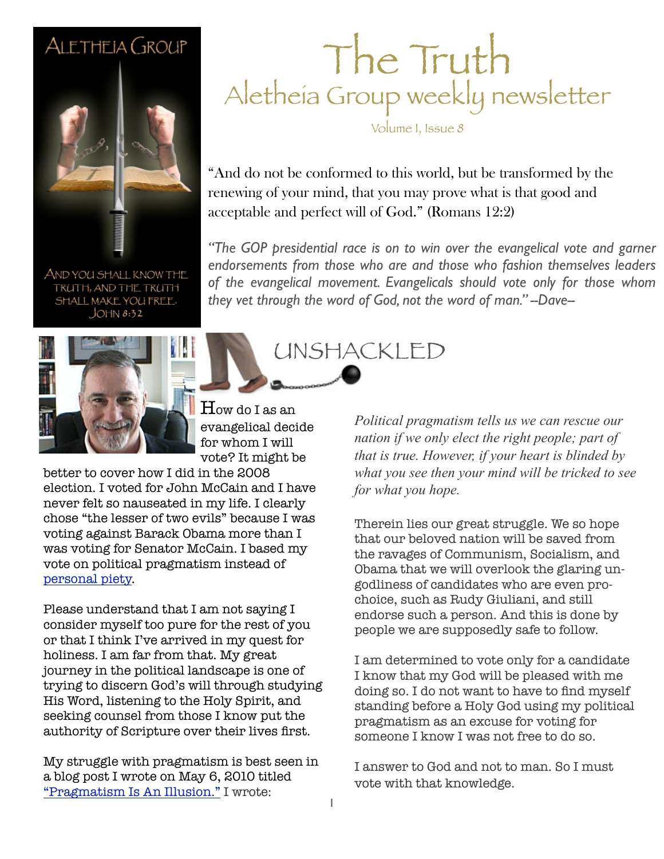### ALETHEIA GROUP



AND YOU SHALL KNOW THE TRUTH, AND THE TRUTH SHALL MAKE YOU FREE.  $JOHM 8:32$ 



How do I as an evangelical decide for whom I will vote? It might be

better to cover how I did in the 2008 election. I voted for John McCain and I have never felt so nauseated in my life. I clearly chose "the lesser of two evils" because I was voting against Barack Obama more than I was voting for Senator McCain. I based my vote on political pragmatism instead of [personal piety.](http://dictionary.reference.com/browse/piety)

Please understand that I am not saying I consider myself too pure for the rest of you or that I think I've arrived in my quest for holiness. I am far from that. My great journey in the political landscape is one of trying to discern God's will through studying His Word, listening to the Holy Spirit, and seeking counsel from those I know put the authority of Scripture over their lives first.

My struggle with pragmatism is best seen in a blog post I wrote on May 6, 2010 titled ["Pragmatism Is An Illusion."](http://www.saltandlightblog.com/7011/pragmatism-is-an-illusion/) I wrote:

### The Truth Aletheia Group weekly newsletter

Volume I, Issue 8

"And do not be conformed to this world, but be transformed by the renewing of your mind, that you may prove what is that good and acceptable and perfect will of God." (Romans 12:2)

UNSHACKLED

"The GOP presidential race is on to win over the evangelical vote and garner *endorsements from those who are and those who fashion themselves leaders of the evangelical movement. Evangelicals should vote only for those whom they vet through the word of God, not the word of man." --Dave--*

> *Political pragmatism tells us we can rescue our nation if we only elect the right people; part of that is true. However, if your heart is blinded by what you see then your mind will be tricked to see for what you hope.*

Therein lies our great struggle. We so hope that our beloved nation will be saved from the ravages of Communism, Socialism, and Obama that we will overlook the glaring ungodliness of candidates who are even prochoice, such as Rudy Giuliani, and still endorse such a person. And this is done by people we are supposedly safe to follow.

I am determined to vote only for a candidate I know that my God will be pleased with me doing so. I do not want to have to find myself standing before a Holy God using my political pragmatism as an excuse for voting for someone I know I was not free to do so.

I answer to God and not to man. So I must vote with that knowledge.

1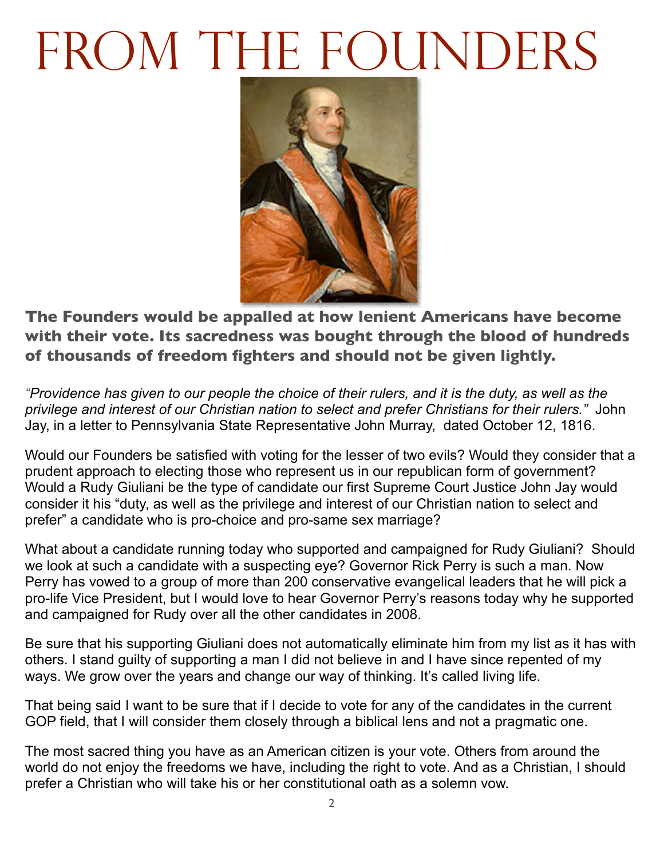## FROM THE FOUNDERS



**The Founders would be appalled at how lenient Americans have become with their vote. Its sacredness was bought through the blood of hundreds of thousands of freedom fighters and should not be given lightly.**

*"Providence has given to our people the choice of their rulers, and it is the duty, as well as the privilege and interest of our Christian nation to select and prefer Christians for their rulers."* John Jay, in a letter to Pennsylvania State Representative John Murray, dated October 12, 1816.

Would our Founders be satisfied with voting for the lesser of two evils? Would they consider that a prudent approach to electing those who represent us in our republican form of government? Would a Rudy Giuliani be the type of candidate our first Supreme Court Justice John Jay would consider it his "duty, as well as the privilege and interest of our Christian nation to select and prefer" a candidate who is pro-choice and pro-same sex marriage?

What about a candidate running today who supported and campaigned for Rudy Giuliani? Should we look at such a candidate with a suspecting eye? Governor Rick Perry is such a man. Now Perry has vowed to a group of more than 200 conservative evangelical leaders that he will pick a pro-life Vice President, but I would love to hear Governor Perry's reasons today why he supported and campaigned for Rudy over all the other candidates in 2008.

Be sure that his supporting Giuliani does not automatically eliminate him from my list as it has with others. I stand guilty of supporting a man I did not believe in and I have since repented of my ways. We grow over the years and change our way of thinking. It's called living life.

That being said I want to be sure that if I decide to vote for any of the candidates in the current GOP field, that I will consider them closely through a biblical lens and not a pragmatic one.

The most sacred thing you have as an American citizen is your vote. Others from around the world do not enjoy the freedoms we have, including the right to vote. And as a Christian, I should prefer a Christian who will take his or her constitutional oath as a solemn vow.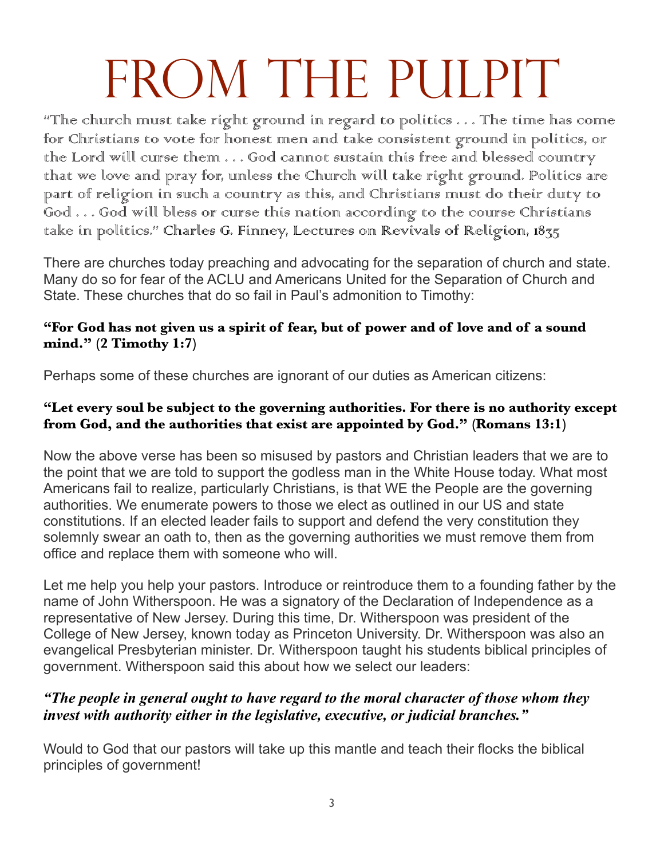## FROM THE PULPIT

"The church must take right ground in regard to politics . . . The time has come for Christians to vote for honest men and take consistent ground in politics, or the Lord will curse them . . . God cannot sustain this free and blessed country that we love and pray for, unless the Church will take right ground. Politics are part of religion in such a country as this, and Christians must do their duty to God . . . God will bless or curse this nation according to the course Christians take in politics." Charles G. Finney, Lectures on Revivals of Religion, 1835

There are churches today preaching and advocating for the separation of church and state. Many do so for fear of the ACLU and Americans United for the Separation of Church and State. These churches that do so fail in Paul's admonition to Timothy:

#### **"For God has not given us a spirit of fear, but of power and of love and of a sound mind." (2 Timothy 1:7)**

Perhaps some of these churches are ignorant of our duties as American citizens:

#### **"Let every soul be subject to the governing authorities. For there is no authority except from God, and the authorities that exist are appointed by God." (Romans 13:1)**

Now the above verse has been so misused by pastors and Christian leaders that we are to the point that we are told to support the godless man in the White House today. What most Americans fail to realize, particularly Christians, is that WE the People are the governing authorities. We enumerate powers to those we elect as outlined in our US and state constitutions. If an elected leader fails to support and defend the very constitution they solemnly swear an oath to, then as the governing authorities we must remove them from office and replace them with someone who will.

Let me help you help your pastors. Introduce or reintroduce them to a founding father by the name of John Witherspoon. He was a signatory of the Declaration of Independence as a representative of New Jersey. During this time, Dr. Witherspoon was president of the College of New Jersey, known today as Princeton University. Dr. Witherspoon was also an evangelical Presbyterian minister. Dr. Witherspoon taught his students biblical principles of government. Witherspoon said this about how we select our leaders:

#### *"The people in general ought to have regard to the moral character of those whom they invest with authority either in the legislative, executive, or judicial branches."*

Would to God that our pastors will take up this mantle and teach their flocks the biblical principles of government!